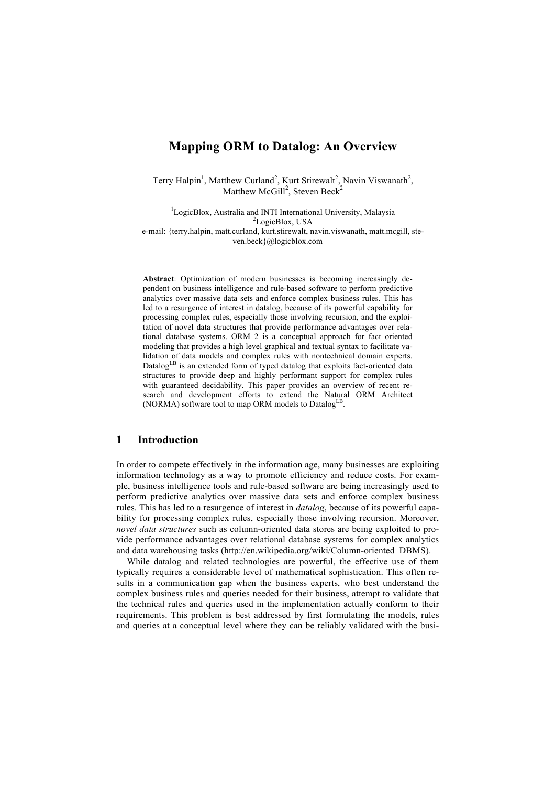# **Mapping ORM to Datalog: An Overview**

Terry Halpin<sup>1</sup>, Matthew Curland<sup>2</sup>, Kurt Stirewalt<sup>2</sup>, Navin Viswanath<sup>2</sup>, Matthew McGill<sup>2</sup>, Steven Beck<sup>2</sup>

<sup>1</sup>LogicBlox, Australia and INTI International University, Malaysia <sup>2</sup>LogicBlox, USA e-mail: {terry.halpin, matt.curland, kurt.stirewalt, navin.viswanath, matt.mcgill, steven.beck}@logicblox.com

**Abstract**: Optimization of modern businesses is becoming increasingly dependent on business intelligence and rule-based software to perform predictive analytics over massive data sets and enforce complex business rules. This has led to a resurgence of interest in datalog, because of its powerful capability for processing complex rules, especially those involving recursion, and the exploitation of novel data structures that provide performance advantages over relational database systems. ORM 2 is a conceptual approach for fact oriented modeling that provides a high level graphical and textual syntax to facilitate validation of data models and complex rules with nontechnical domain experts. Datalog<sup>LB</sup> is an extended form of typed datalog that exploits fact-oriented data structures to provide deep and highly performant support for complex rules with guaranteed decidability. This paper provides an overview of recent research and development efforts to extend the Natural ORM Architect (NORMA) software tool to map ORM models to Datalog<sup>LB</sup>.

## **1 Introduction**

In order to compete effectively in the information age, many businesses are exploiting information technology as a way to promote efficiency and reduce costs. For example, business intelligence tools and rule-based software are being increasingly used to perform predictive analytics over massive data sets and enforce complex business rules. This has led to a resurgence of interest in *datalog*, because of its powerful capability for processing complex rules, especially those involving recursion. Moreover, *novel data structures* such as column-oriented data stores are being exploited to provide performance advantages over relational database systems for complex analytics and data warehousing tasks (http://en.wikipedia.org/wiki/Column-oriented\_DBMS).

While datalog and related technologies are powerful, the effective use of them typically requires a considerable level of mathematical sophistication. This often results in a communication gap when the business experts, who best understand the complex business rules and queries needed for their business, attempt to validate that the technical rules and queries used in the implementation actually conform to their requirements. This problem is best addressed by first formulating the models, rules and queries at a conceptual level where they can be reliably validated with the busi-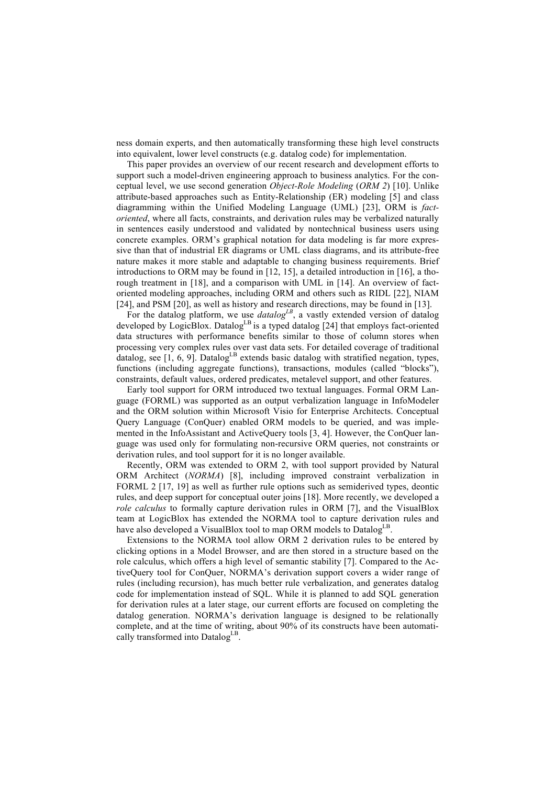ness domain experts, and then automatically transforming these high level constructs into equivalent, lower level constructs (e.g. datalog code) for implementation.

This paper provides an overview of our recent research and development efforts to support such a model-driven engineering approach to business analytics. For the conceptual level, we use second generation *Object-Role Modeling* (*ORM 2*) [10]. Unlike attribute-based approaches such as Entity-Relationship (ER) modeling [5] and class diagramming within the Unified Modeling Language (UML) [23], ORM is *factoriented*, where all facts, constraints, and derivation rules may be verbalized naturally in sentences easily understood and validated by nontechnical business users using concrete examples. ORM's graphical notation for data modeling is far more expressive than that of industrial ER diagrams or UML class diagrams, and its attribute-free nature makes it more stable and adaptable to changing business requirements. Brief introductions to ORM may be found in [12, 15], a detailed introduction in [16], a thorough treatment in [18], and a comparison with UML in [14]. An overview of factoriented modeling approaches, including ORM and others such as RIDL [22], NIAM [24], and PSM [20], as well as history and research directions, may be found in [13].

For the datalog platform, we use *datalog*<sup>LB</sup>, a vastly extended version of datalog developed by LogicBlox. Datalog<sup>LB</sup> is a typed datalog [24] that employs fact-oriented data structures with performance benefits similar to those of column stores when processing very complex rules over vast data sets. For detailed coverage of traditional datalog, see  $[1, 6, 9]$ . Datalog<sup>LB</sup> extends basic datalog with stratified negation, types, functions (including aggregate functions), transactions, modules (called "blocks"), constraints, default values, ordered predicates, metalevel support, and other features.

Early tool support for ORM introduced two textual languages. Formal ORM Language (FORML) was supported as an output verbalization language in InfoModeler and the ORM solution within Microsoft Visio for Enterprise Architects. Conceptual Query Language (ConQuer) enabled ORM models to be queried, and was implemented in the InfoAssistant and ActiveQuery tools [3, 4]. However, the ConQuer language was used only for formulating non-recursive ORM queries, not constraints or derivation rules, and tool support for it is no longer available.

Recently, ORM was extended to ORM 2, with tool support provided by Natural ORM Architect (*NORMA*) [8], including improved constraint verbalization in FORML 2 [17, 19] as well as further rule options such as semiderived types, deontic rules, and deep support for conceptual outer joins [18]. More recently, we developed a *role calculus* to formally capture derivation rules in ORM [7], and the VisualBlox team at LogicBlox has extended the NORMA tool to capture derivation rules and have also developed a VisualBlox tool to map ORM models to Datalog<sup>LB</sup>.

Extensions to the NORMA tool allow ORM 2 derivation rules to be entered by clicking options in a Model Browser, and are then stored in a structure based on the role calculus, which offers a high level of semantic stability [7]. Compared to the ActiveQuery tool for ConQuer, NORMA's derivation support covers a wider range of rules (including recursion), has much better rule verbalization, and generates datalog code for implementation instead of SQL. While it is planned to add SQL generation for derivation rules at a later stage, our current efforts are focused on completing the datalog generation. NORMA's derivation language is designed to be relationally complete, and at the time of writing, about 90% of its constructs have been automatically transformed into Datalog<sup>LB</sup>.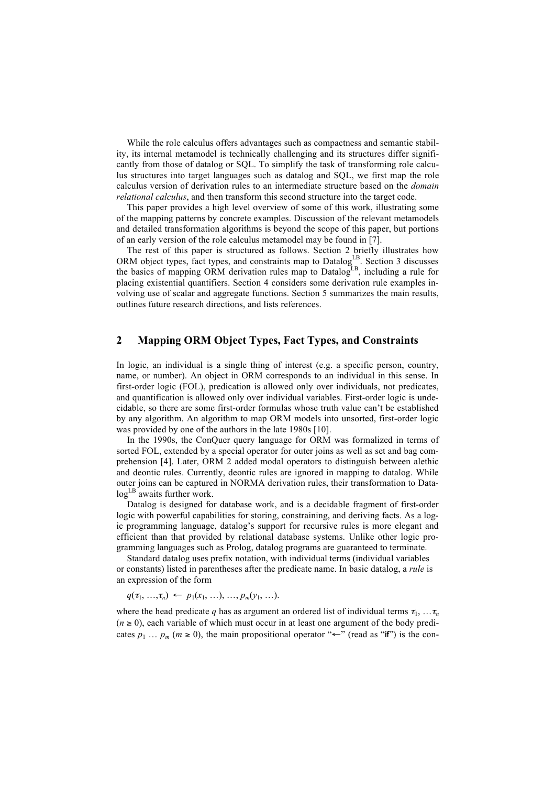While the role calculus offers advantages such as compactness and semantic stability, its internal metamodel is technically challenging and its structures differ significantly from those of datalog or SQL. To simplify the task of transforming role calculus structures into target languages such as datalog and SQL, we first map the role calculus version of derivation rules to an intermediate structure based on the *domain relational calculus*, and then transform this second structure into the target code.

This paper provides a high level overview of some of this work, illustrating some of the mapping patterns by concrete examples. Discussion of the relevant metamodels and detailed transformation algorithms is beyond the scope of this paper, but portions of an early version of the role calculus metamodel may be found in [7].

The rest of this paper is structured as follows. Section 2 briefly illustrates how ORM object types, fact types, and constraints map to Datalog<sup>LB</sup>. Section 3 discusses the basics of mapping ORM derivation rules map to Datalog<sup>LB</sup>, including a rule for placing existential quantifiers. Section 4 considers some derivation rule examples involving use of scalar and aggregate functions. Section 5 summarizes the main results, outlines future research directions, and lists references.

## **2 Mapping ORM Object Types, Fact Types, and Constraints**

In logic, an individual is a single thing of interest (e.g. a specific person, country, name, or number). An object in ORM corresponds to an individual in this sense. In first-order logic (FOL), predication is allowed only over individuals, not predicates, and quantification is allowed only over individual variables. First-order logic is undecidable, so there are some first-order formulas whose truth value can't be established by any algorithm. An algorithm to map ORM models into unsorted, first-order logic was provided by one of the authors in the late 1980s [10].

In the 1990s, the ConQuer query language for ORM was formalized in terms of sorted FOL, extended by a special operator for outer joins as well as set and bag comprehension [4]. Later, ORM 2 added modal operators to distinguish between alethic and deontic rules. Currently, deontic rules are ignored in mapping to datalog. While outer joins can be captured in NORMA derivation rules, their transformation to Datalog<sup>LB</sup> awaits further work.

Datalog is designed for database work, and is a decidable fragment of first-order logic with powerful capabilities for storing, constraining, and deriving facts. As a logic programming language, datalog's support for recursive rules is more elegant and efficient than that provided by relational database systems. Unlike other logic programming languages such as Prolog, datalog programs are guaranteed to terminate.

Standard datalog uses prefix notation, with individual terms (individual variables or constants) listed in parentheses after the predicate name. In basic datalog, a *rule* is an expression of the form

 $q(\tau_1, ..., \tau_n) \leftarrow p_1(x_1, ..., x_n, ..., p_m(y_1, ...).$ 

where the head predicate *q* has as argument an ordered list of individual terms  $\tau_1, \ldots, \tau_n$  $(n \ge 0)$ , each variable of which must occur in at least one argument of the body predicates  $p_1 \n\t... p_m$  ( $m \ge 0$ ), the main propositional operator "←" (read as "if") is the con-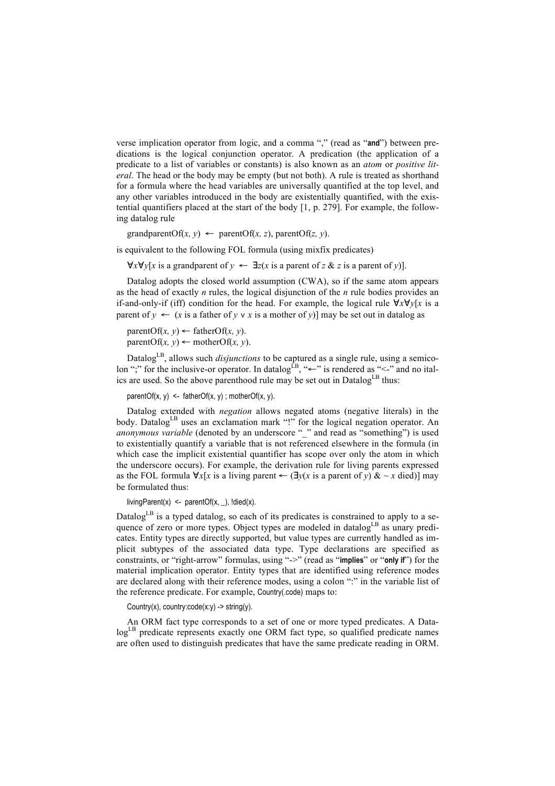verse implication operator from logic, and a comma "," (read as "**and**") between predications is the logical conjunction operator. A predication (the application of a predicate to a list of variables or constants) is also known as an *atom* or *positive literal*. The head or the body may be empty (but not both). A rule is treated as shorthand for a formula where the head variables are universally quantified at the top level, and any other variables introduced in the body are existentially quantified, with the existential quantifiers placed at the start of the body [1, p. 279]. For example, the following datalog rule

 $\text{grandparentOf}(x, y) \leftarrow \text{parentOf}(x, z)$ , parentOf(*z*, *y*).

is equivalent to the following FOL formula (using mixfix predicates)

 $\forall x \forall y [x \text{ is a grandparent of } y \leftarrow \exists z (x \text{ is a parent of } z \& z \text{ is a parent of } y).$ 

Datalog adopts the closed world assumption (CWA), so if the same atom appears as the head of exactly *n* rules, the logical disjunction of the *n* rule bodies provides an if-and-only-if (iff) condition for the head. For example, the logical rule ∀*x*∀*y*[*x* is a parent of  $y \leftarrow (x \text{ is a father of } y \lor x \text{ is a mother of } y)$ ] may be set out in datalog as

```
parentOf(x, y) \leftarrow fatherOf(x, y).
parentOf(x, y) \leftarrow motherOf(x, y).
```
Datalog<sup>LB</sup>, allows such *disjunctions* to be captured as a single rule, using a semicolon ";" for the inclusive-or operator. In datalog<sup>LB</sup>, " $\leftarrow$ " is rendered as "<-" and no italics are used. So the above parenthood rule may be set out in Datalog<sup>LB</sup> thus:

parentOf(x, y) <- fatherOf(x, y); motherOf(x, y).

Datalog extended with *negation* allows negated atoms (negative literals) in the body. Datalog<sup>LB</sup> uses an exclamation mark "!" for the logical negation operator. An *anonymous variable* (denoted by an underscore " " and read as "something") is used to existentially quantify a variable that is not referenced elsewhere in the formula (in which case the implicit existential quantifier has scope over only the atom in which the underscore occurs). For example, the derivation rule for living parents expressed as the FOL formula  $\forall x[x]$  is a living parent ←  $(\exists y(x)$  is a parent of *y*) & ~ *x* died)] may be formulated thus:

 $livingParent(x) \leq parentOf(x, \)$ , !died(x).

Datalog<sup>LB</sup> is a typed datalog, so each of its predicates is constrained to apply to a sequence of zero or more types. Object types are modeled in datalog<sup>LB</sup> as unary predicates. Entity types are directly supported, but value types are currently handled as implicit subtypes of the associated data type. Type declarations are specified as constraints, or "right-arrow" formulas, using "->" (read as "**implies**" or "**only if**") for the material implication operator. Entity types that are identified using reference modes are declared along with their reference modes, using a colon ":" in the variable list of the reference predicate. For example, Country(.code) maps to:

Country(x), country: $code(x:y) \rightarrow string(y)$ .

An ORM fact type corresponds to a set of one or more typed predicates. A Datalog<sup>LB</sup> predicate represents exactly one ORM fact type, so qualified predicate names are often used to distinguish predicates that have the same predicate reading in ORM.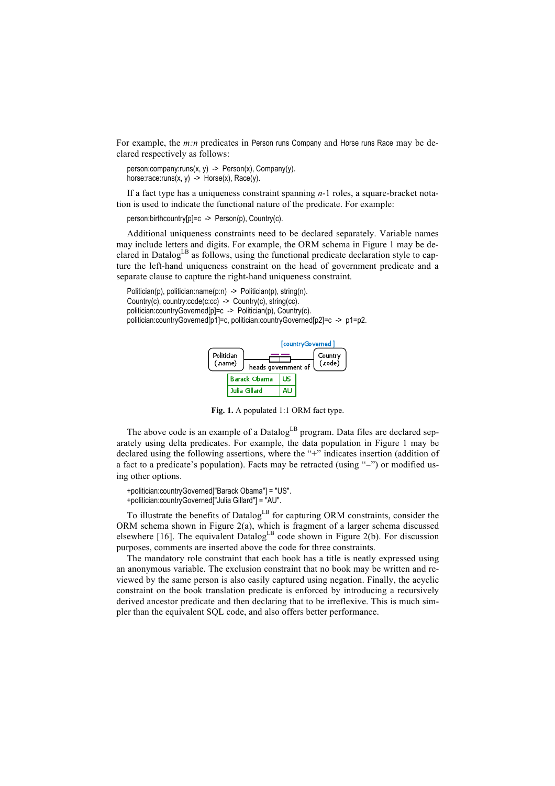For example, the *m:n* predicates in Person runs Company and Horse runs Race may be declared respectively as follows:

person: company: runs $(x, y)$  -> Person $(x)$ , Company $(y)$ . horse:race:runs(x, y) -> Horse(x), Race(y).

If a fact type has a uniqueness constraint spanning *n*-1 roles, a square-bracket notation is used to indicate the functional nature of the predicate. For example:

person:birthcountry[p]=c -> Person(p), Country(c).

Additional uniqueness constraints need to be declared separately. Variable names may include letters and digits. For example, the ORM schema in Figure 1 may be declared in Datalog<sup>LB</sup> as follows, using the functional predicate declaration style to capture the left-hand uniqueness constraint on the head of government predicate and a separate clause to capture the right-hand uniqueness constraint.

```
Politician(p), politician:name(p:n) -> Politician(p), string(n).
Country(c), country:code(c:cc) -> Country(c), string(cc).
politician:countryGoverned[p]=c -> Politician(p), Country(c).
politician:countryGoverned[p1]=c, politician:countryGoverned[p2]=c -> p1=p2.
```


**Fig. 1.** A populated 1:1 ORM fact type.

The above code is an example of a Datalog<sup>LB</sup> program. Data files are declared separately using delta predicates. For example, the data population in Figure 1 may be declared using the following assertions, where the "+" indicates insertion (addition of a fact to a predicate's population). Facts may be retracted (using "−") or modified using other options.

```
+politician:countryGoverned["Barack Obama"] = "US".
+politician:countryGoverned["Julia Gillard"] = "AU".
```
To illustrate the benefits of Datalog<sup>LB</sup> for capturing ORM constraints, consider the ORM schema shown in Figure 2(a), which is fragment of a larger schema discussed elsewhere [16]. The equivalent  $\text{Database}^{\text{LB}}$  code shown in Figure 2(b). For discussion purposes, comments are inserted above the code for three constraints.

The mandatory role constraint that each book has a title is neatly expressed using an anonymous variable. The exclusion constraint that no book may be written and reviewed by the same person is also easily captured using negation. Finally, the acyclic constraint on the book translation predicate is enforced by introducing a recursively derived ancestor predicate and then declaring that to be irreflexive. This is much simpler than the equivalent SQL code, and also offers better performance.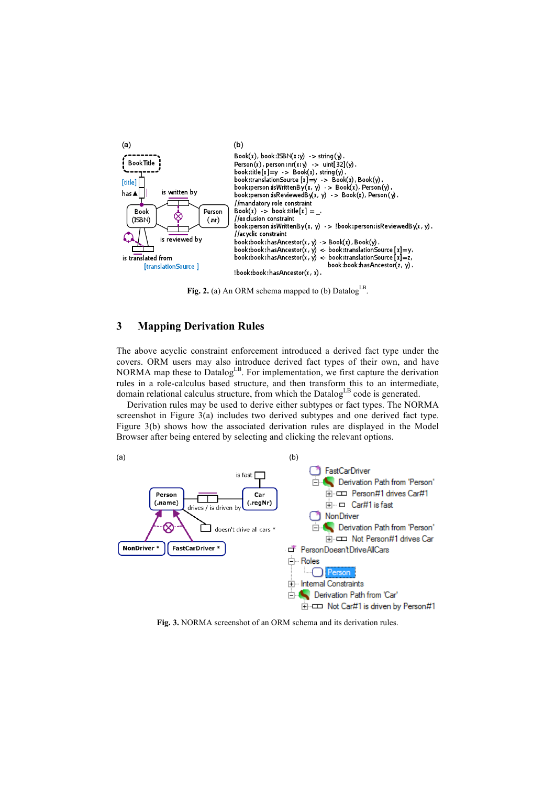

Fig. 2. (a) An ORM schema mapped to (b) Datalog<sup>LB</sup>.

## **3 Mapping Derivation Rules**

The above acyclic constraint enforcement introduced a derived fact type under the covers. ORM users may also introduce derived fact types of their own, and have NORMA map these to Datalog<sup>LB</sup>. For implementation, we first capture the derivation rules in a role-calculus based structure, and then transform this to an intermediate, domain relational calculus structure, from which the Datalog<sup>LB</sup> code is generated.

Derivation rules may be used to derive either subtypes or fact types. The NORMA screenshot in Figure 3(a) includes two derived subtypes and one derived fact type. Figure 3(b) shows how the associated derivation rules are displayed in the Model Browser after being entered by selecting and clicking the relevant options.



**Fig. 3.** NORMA screenshot of an ORM schema and its derivation rules.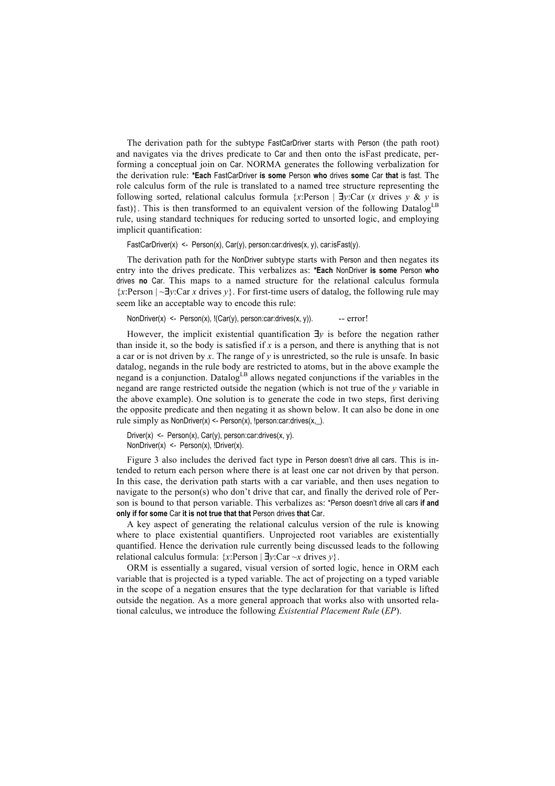The derivation path for the subtype FastCarDriver starts with Person (the path root) and navigates via the drives predicate to Car and then onto the isFast predicate, performing a conceptual join on Car. NORMA generates the following verbalization for the derivation rule: **\*Each** FastCarDriver **is some** Person **who** drives **some** Car **that** is fast. The role calculus form of the rule is translated to a named tree structure representing the following sorted, relational calculus formula {*x*:Person | ∃*y*:Car (*x* drives *y* & *y* is fast)}. This is then transformed to an equivalent version of the following Datalog<sup>LB</sup> rule, using standard techniques for reducing sorted to unsorted logic, and employing implicit quantification:

FastCarDriver(x) <- Person(x), Car(y), person:car:drives(x, y), car:isFast(y).

The derivation path for the NonDriver subtype starts with Person and then negates its entry into the drives predicate. This verbalizes as: **\*Each** NonDriver **is some** Person **who** drives **no** Car. This maps to a named structure for the relational calculus formula {*x*:Person | ~∃*y*:Car *x* drives *y*}. For first-time users of datalog, the following rule may seem like an acceptable way to encode this rule:

NonDriver(x) <-  $Person(x)$ , !(Car(y), person:car:drives(x, y)). -- error!

However, the implicit existential quantification  $\exists y$  is before the negation rather than inside it, so the body is satisfied if  $x$  is a person, and there is anything that is not a car or is not driven by x. The range of  $\nu$  is unrestricted, so the rule is unsafe. In basic datalog, negands in the rule body are restricted to atoms, but in the above example the negand is a conjunction. Datalog<sup>LB</sup> allows negated conjunctions if the variables in the negand are range restricted outside the negation (which is not true of the *y* variable in the above example). One solution is to generate the code in two steps, first deriving the opposite predicate and then negating it as shown below. It can also be done in one rule simply as NonDriver(x) <- Person(x), !person:car:drives(x,\_).

Driver(x) <- Person(x), Car(y), person:car:drives(x, y). NonDriver(x) <- Person(x), !Driver(x).

Figure 3 also includes the derived fact type in Person doesn't drive all cars. This is intended to return each person where there is at least one car not driven by that person. In this case, the derivation path starts with a car variable, and then uses negation to navigate to the person(s) who don't drive that car, and finally the derived role of Person is bound to that person variable. This verbalizes as: \*Person doesn't drive all cars **if and only if for some** Car **it is not true that that** Person drives **that** Car.

A key aspect of generating the relational calculus version of the rule is knowing where to place existential quantifiers. Unprojected root variables are existentially quantified. Hence the derivation rule currently being discussed leads to the following relational calculus formula:  $\{x: Person \mid \exists y: Car \sim x \text{ drives } y\}.$ 

ORM is essentially a sugared, visual version of sorted logic, hence in ORM each variable that is projected is a typed variable. The act of projecting on a typed variable in the scope of a negation ensures that the type declaration for that variable is lifted outside the negation. As a more general approach that works also with unsorted relational calculus, we introduce the following *Existential Placement Rule* (*EP*).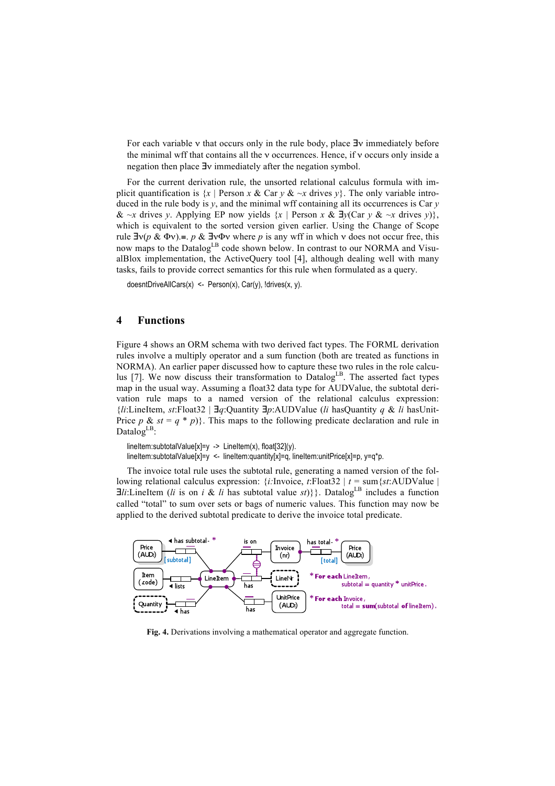For each variable v that occurs only in the rule body, place  $\exists v$  immediately before the minimal wff that contains all the ν occurrences. Hence, if ν occurs only inside a negation then place ∃ν immediately after the negation symbol.

For the current derivation rule, the unsorted relational calculus formula with implicit quantification is  $\{x \mid \text{Person } x \& \text{Car } y \& \neg x \text{ drives } y\}$ . The only variable introduced in the rule body is  $y$ , and the minimal wff containing all its occurrences is Car  $y$ &  $\sim$ *x* drives *y*. Applying EP now yields  $\{x \mid \text{Person } x \& \exists y (\text{Car } y \& \sim x \text{ drives } y)\},\$ which is equivalent to the sorted version given earlier. Using the Change of Scope rule  $\exists v (p \& \Phi v) = p \& \exists v \Phi v$  where *p* is any wff in which v does not occur free, this now maps to the Datalog<sup>LB</sup> code shown below. In contrast to our NORMA and VisualBlox implementation, the ActiveQuery tool [4], although dealing well with many tasks, fails to provide correct semantics for this rule when formulated as a query.

doesntDriveAllCars(x) <- Person(x), Car(y), !drives(x, y).

#### **4 Functions**

Figure 4 shows an ORM schema with two derived fact types. The FORML derivation rules involve a multiply operator and a sum function (both are treated as functions in NORMA). An earlier paper discussed how to capture these two rules in the role calculus [7]. We now discuss their transformation to Datalog<sup>LB</sup>. The asserted fact types map in the usual way. Assuming a float32 data type for AUDValue, the subtotal derivation rule maps to a named version of the relational calculus expression: {*li*:LineItem, *st*:Float32 | ∃*q*:Quantity ∃*p*:AUDValue (*li* hasQuantity *q* & *li* hasUnit-Price *p* &  $st = q * p$ }. This maps to the following predicate declaration and rule in DatalogLB:

lineItem:subtotalValue[x]=y -> LineItem(x), float[32](y). lineItem:subtotalValue[x]=y <- lineItem:quantity[x]=q, lineItem:unitPrice[x]=p, y=q\*p.

The invoice total rule uses the subtotal rule, generating a named version of the following relational calculus expression:  $\{i: Invoice, t: Float32 \mid t = \text{sum}\{st: \text{ADDValue} \mid \text{true}\}$  $\exists$ *li*:LineItem (*li* is on *i* & *li* has subtotal value *st*)}}. Datalog<sup>LB</sup> includes a function called "total" to sum over sets or bags of numeric values. This function may now be applied to the derived subtotal predicate to derive the invoice total predicate.



**Fig. 4.** Derivations involving a mathematical operator and aggregate function.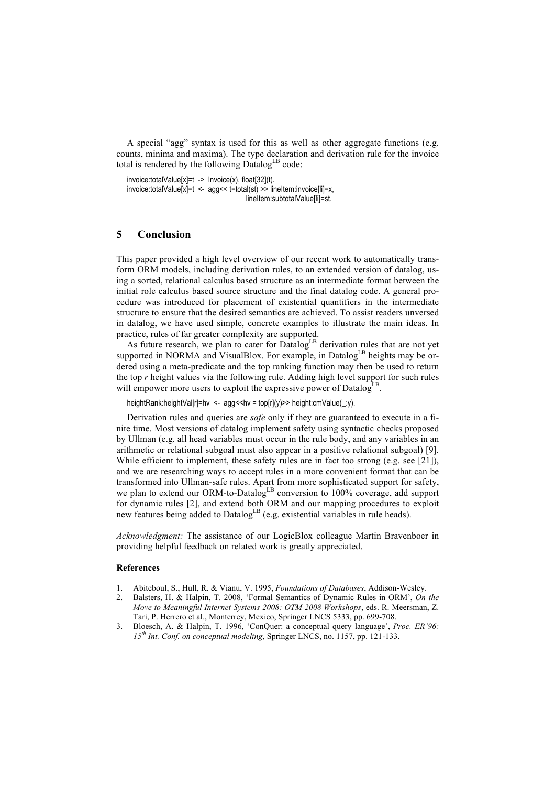A special "agg" syntax is used for this as well as other aggregate functions (e.g. counts, minima and maxima). The type declaration and derivation rule for the invoice total is rendered by the following Datalog<sup>LB</sup> code:

 $invoice: totalValue[x]=t$  ->  $Invoice(x)$ ,  $float[32](t)$ . invoice:totalValue[x]=t <- agg<< t=total(st) >> lineItem:invoice[li]=x, lineItem:subtotalValue[li]=st.

#### **5 Conclusion**

This paper provided a high level overview of our recent work to automatically transform ORM models, including derivation rules, to an extended version of datalog, using a sorted, relational calculus based structure as an intermediate format between the initial role calculus based source structure and the final datalog code. A general procedure was introduced for placement of existential quantifiers in the intermediate structure to ensure that the desired semantics are achieved. To assist readers unversed in datalog, we have used simple, concrete examples to illustrate the main ideas. In practice, rules of far greater complexity are supported.

As future research, we plan to cater for  $Datalog<sup>LB</sup>$  derivation rules that are not yet supported in NORMA and VisualBlox. For example, in Datalog<sup>LB</sup> heights may be ordered using a meta-predicate and the top ranking function may then be used to return the top *r* height values via the following rule. Adding high level support for such rules will empower more users to exploit the expressive power of Datalog<sup>1</sup>

heightRank:heightVal[r]=hv <- agg<<hv = top[r](y)>> height:cmValue(\_:y).

Derivation rules and queries are *safe* only if they are guaranteed to execute in a finite time. Most versions of datalog implement safety using syntactic checks proposed by Ullman (e.g. all head variables must occur in the rule body, and any variables in an arithmetic or relational subgoal must also appear in a positive relational subgoal) [9]. While efficient to implement, these safety rules are in fact too strong (e.g. see [21]), and we are researching ways to accept rules in a more convenient format that can be transformed into Ullman-safe rules. Apart from more sophisticated support for safety, we plan to extend our ORM-to-Datalog<sup>LB</sup> conversion to  $100\%$  coverage, add support for dynamic rules [2], and extend both ORM and our mapping procedures to exploit new features being added to Datalog<sup>LB</sup> (e.g. existential variables in rule heads).

*Acknowledgment:* The assistance of our LogicBlox colleague Martin Bravenboer in providing helpful feedback on related work is greatly appreciated.

#### **References**

- 1. Abiteboul, S., Hull, R. & Vianu, V. 1995, *Foundations of Databases*, Addison-Wesley.
- 2. Balsters, H. & Halpin, T. 2008, 'Formal Semantics of Dynamic Rules in ORM', *On the Move to Meaningful Internet Systems 2008: OTM 2008 Workshops*, eds. R. Meersman, Z. Tari, P. Herrero et al., Monterrey, Mexico, Springer LNCS 5333, pp. 699-708.
- 3. Bloesch, A. & Halpin, T. 1996, 'ConQuer: a conceptual query language', *Proc. ER'96: 15th Int. Conf. on conceptual modeling*, Springer LNCS, no. 1157, pp. 121-133.